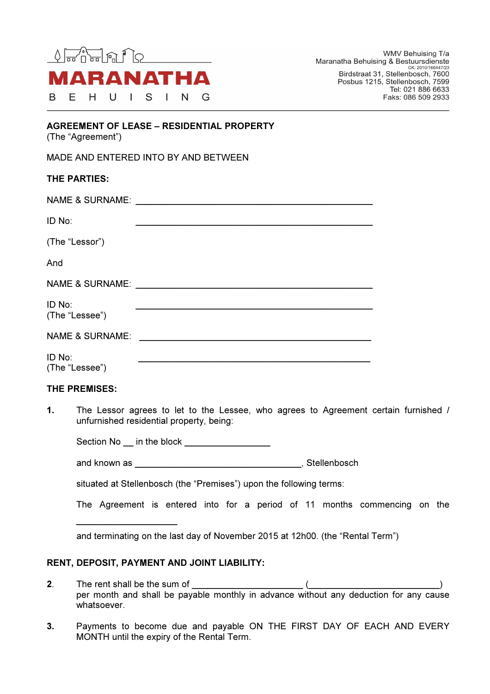

WMV Behuising T/a Maranatha Behuising & Bestuursdienste CK: 2010/166447/23 Birdstraat 31, Stellenbosch, 7600 Posbus 1215, Stellenbosch, 7599 Tel: 021 886 6633 Faks: 086 509 2933

| <b>AGREEMENT OF LEASE - RESIDENTIAL PROPERTY</b> |  |
|--------------------------------------------------|--|
| (The "Agreement")                                |  |

| MADE AND ENTERED INTO BY AND BETWEEN |  |  |  |
|--------------------------------------|--|--|--|
|                                      |  |  |  |

| THE PARTIES:               |  |
|----------------------------|--|
|                            |  |
| ID No:                     |  |
| (The "Lessor")             |  |
| And                        |  |
|                            |  |
| ID No:<br>(The "Lessee")   |  |
| <b>NAME &amp; SURNAME:</b> |  |
| ID No:<br>(The "Lessee")   |  |

## THE PREMISES:

1. The Lessor agrees to let to the Lessee, who agrees to Agreement certain furnished / unfurnished residential property, being:

Section No \_\_ in the block \_\_\_\_\_\_\_\_\_\_\_\_\_\_\_\_\_\_

and known as \_\_\_\_\_\_\_\_\_\_\_\_\_\_\_\_\_\_\_\_\_\_\_\_\_\_\_\_\_\_\_\_\_, Stellenbosch

situated at Stellenbosch (the "Premises") upon the following terms:

The Agreement is entered into for a period of 11 months commencing on the

and terminating on the last day of November 2015 at 12h00. (the "Rental Term")

# RENT, DEPOSIT, PAYMENT AND JOINT LIABILITY:

 $\_$ 

- 2. The rent shall be the sum of  $\qquad \qquad$  ( per month and shall be payable monthly in advance without any deduction for any cause whatsoever.
- 3. Payments to become due and payable ON THE FIRST DAY OF EACH AND EVERY MONTH until the expiry of the Rental Term.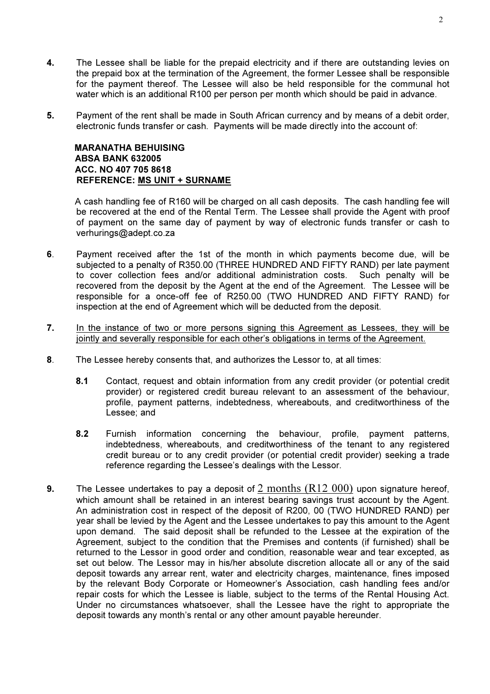- 4. The Lessee shall be liable for the prepaid electricity and if there are outstanding levies on the prepaid box at the termination of the Agreement, the former Lessee shall be responsible for the payment thereof. The Lessee will also be held responsible for the communal hot water which is an additional R100 per person per month which should be paid in advance.
- 5. Payment of the rent shall be made in South African currency and by means of a debit order, electronic funds transfer or cash. Payments will be made directly into the account of:

 MARANATHA BEHUISING ABSA BANK 632005 ACC. NO 407 705 8618 REFERENCE: MS UNIT + SURNAME

 A cash handling fee of R160 will be charged on all cash deposits. The cash handling fee will be recovered at the end of the Rental Term. The Lessee shall provide the Agent with proof of payment on the same day of payment by way of electronic funds transfer or cash to verhurings@adept.co.za

- 6. Payment received after the 1st of the month in which payments become due, will be subjected to a penalty of R350.00 (THREE HUNDRED AND FIFTY RAND) per late payment to cover collection fees and/or additional administration costs. Such penalty will be recovered from the deposit by the Agent at the end of the Agreement. The Lessee will be responsible for a once-off fee of R250.00 (TWO HUNDRED AND FIFTY RAND) for inspection at the end of Agreement which will be deducted from the deposit.
- 7. In the instance of two or more persons signing this Agreement as Lessees, they will be jointly and severally responsible for each other's obligations in terms of the Agreement.
- 8. The Lessee hereby consents that, and authorizes the Lessor to, at all times:
	- 8.1 Contact, request and obtain information from any credit provider (or potential credit provider) or registered credit bureau relevant to an assessment of the behaviour, profile, payment patterns, indebtedness, whereabouts, and creditworthiness of the Lessee; and
	- 8.2 Furnish information concerning the behaviour, profile, payment patterns, indebtedness, whereabouts, and creditworthiness of the tenant to any registered credit bureau or to any credit provider (or potential credit provider) seeking a trade reference regarding the Lessee's dealings with the Lessor.
- 9. The Lessee undertakes to pay a deposit of 2 months  $(R12 000)$  upon signature hereof, which amount shall be retained in an interest bearing savings trust account by the Agent. An administration cost in respect of the deposit of R200, 00 (TWO HUNDRED RAND) per year shall be levied by the Agent and the Lessee undertakes to pay this amount to the Agent upon demand. The said deposit shall be refunded to the Lessee at the expiration of the Agreement, subject to the condition that the Premises and contents (if furnished) shall be returned to the Lessor in good order and condition, reasonable wear and tear excepted, as set out below. The Lessor may in his/her absolute discretion allocate all or any of the said deposit towards any arrear rent, water and electricity charges, maintenance, fines imposed by the relevant Body Corporate or Homeowner's Association, cash handling fees and/or repair costs for which the Lessee is liable, subject to the terms of the Rental Housing Act. Under no circumstances whatsoever, shall the Lessee have the right to appropriate the deposit towards any month's rental or any other amount payable hereunder.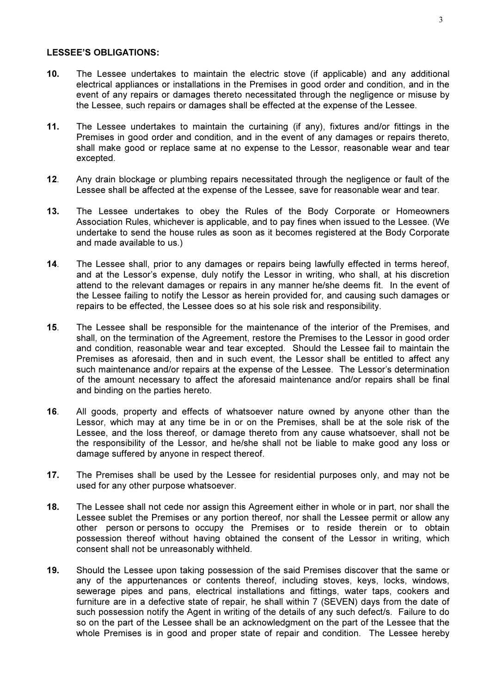#### LESSEE'S OBLIGATIONS:

- 10. The Lessee undertakes to maintain the electric stove (if applicable) and any additional electrical appliances or installations in the Premises in good order and condition, and in the event of any repairs or damages thereto necessitated through the negligence or misuse by the Lessee, such repairs or damages shall be effected at the expense of the Lessee.
- 11. The Lessee undertakes to maintain the curtaining (if any), fixtures and/or fittings in the Premises in good order and condition, and in the event of any damages or repairs thereto, shall make good or replace same at no expense to the Lessor, reasonable wear and tear excepted.
- 12. Any drain blockage or plumbing repairs necessitated through the negligence or fault of the Lessee shall be affected at the expense of the Lessee, save for reasonable wear and tear.
- 13. The Lessee undertakes to obey the Rules of the Body Corporate or Homeowners Association Rules, whichever is applicable, and to pay fines when issued to the Lessee. (We undertake to send the house rules as soon as it becomes registered at the Body Corporate and made available to us.)
- 14. The Lessee shall, prior to any damages or repairs being lawfully effected in terms hereof, and at the Lessor's expense, duly notify the Lessor in writing, who shall, at his discretion attend to the relevant damages or repairs in any manner he/she deems fit. In the event of the Lessee failing to notify the Lessor as herein provided for, and causing such damages or repairs to be effected, the Lessee does so at his sole risk and responsibility.
- 15. The Lessee shall be responsible for the maintenance of the interior of the Premises, and shall, on the termination of the Agreement, restore the Premises to the Lessor in good order and condition, reasonable wear and tear excepted. Should the Lessee fail to maintain the Premises as aforesaid, then and in such event, the Lessor shall be entitled to affect any such maintenance and/or repairs at the expense of the Lessee. The Lessor's determination of the amount necessary to affect the aforesaid maintenance and/or repairs shall be final and binding on the parties hereto.
- 16. All goods, property and effects of whatsoever nature owned by anyone other than the Lessor, which may at any time be in or on the Premises, shall be at the sole risk of the Lessee, and the loss thereof, or damage thereto from any cause whatsoever, shall not be the responsibility of the Lessor, and he/she shall not be liable to make good any loss or damage suffered by anyone in respect thereof.
- 17. The Premises shall be used by the Lessee for residential purposes only, and may not be used for any other purpose whatsoever.
- 18. The Lessee shall not cede nor assign this Agreement either in whole or in part, nor shall the Lessee sublet the Premises or any portion thereof, nor shall the Lessee permit or allow any other person or persons to occupy the Premises or to reside therein or to obtain possession thereof without having obtained the consent of the Lessor in writing, which consent shall not be unreasonably withheld.
- 19. Should the Lessee upon taking possession of the said Premises discover that the same or any of the appurtenances or contents thereof, including stoves, keys, locks, windows, sewerage pipes and pans, electrical installations and fittings, water taps, cookers and furniture are in a defective state of repair, he shall within 7 (SEVEN) days from the date of such possession notify the Agent in writing of the details of any such defect/s. Failure to do so on the part of the Lessee shall be an acknowledgment on the part of the Lessee that the whole Premises is in good and proper state of repair and condition. The Lessee hereby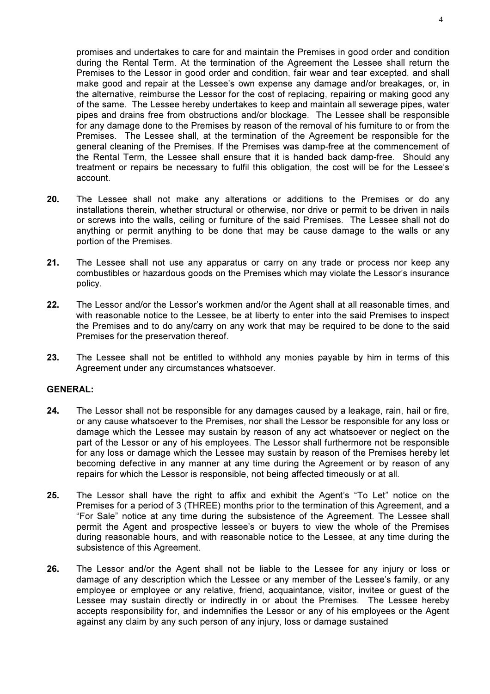promises and undertakes to care for and maintain the Premises in good order and condition during the Rental Term. At the termination of the Agreement the Lessee shall return the Premises to the Lessor in good order and condition, fair wear and tear excepted, and shall make good and repair at the Lessee's own expense any damage and/or breakages, or, in the alternative, reimburse the Lessor for the cost of replacing, repairing or making good any of the same. The Lessee hereby undertakes to keep and maintain all sewerage pipes, water pipes and drains free from obstructions and/or blockage. The Lessee shall be responsible for any damage done to the Premises by reason of the removal of his furniture to or from the Premises. The Lessee shall, at the termination of the Agreement be responsible for the general cleaning of the Premises. If the Premises was damp-free at the commencement of the Rental Term, the Lessee shall ensure that it is handed back damp-free. Should any treatment or repairs be necessary to fulfil this obligation, the cost will be for the Lessee's account.

- 20. The Lessee shall not make any alterations or additions to the Premises or do any installations therein, whether structural or otherwise, nor drive or permit to be driven in nails or screws into the walls, ceiling or furniture of the said Premises. The Lessee shall not do anything or permit anything to be done that may be cause damage to the walls or any portion of the Premises.
- 21. The Lessee shall not use any apparatus or carry on any trade or process nor keep any combustibles or hazardous goods on the Premises which may violate the Lessor's insurance policy.
- 22. The Lessor and/or the Lessor's workmen and/or the Agent shall at all reasonable times, and with reasonable notice to the Lessee, be at liberty to enter into the said Premises to inspect the Premises and to do any/carry on any work that may be required to be done to the said Premises for the preservation thereof.
- 23. The Lessee shall not be entitled to withhold any monies payable by him in terms of this Agreement under any circumstances whatsoever.

#### GENERAL:

- 24. The Lessor shall not be responsible for any damages caused by a leakage, rain, hail or fire, or any cause whatsoever to the Premises, nor shall the Lessor be responsible for any loss or damage which the Lessee may sustain by reason of any act whatsoever or neglect on the part of the Lessor or any of his employees. The Lessor shall furthermore not be responsible for any loss or damage which the Lessee may sustain by reason of the Premises hereby let becoming defective in any manner at any time during the Agreement or by reason of any repairs for which the Lessor is responsible, not being affected timeously or at all.
- 25. The Lessor shall have the right to affix and exhibit the Agent's "To Let" notice on the Premises for a period of 3 (THREE) months prior to the termination of this Agreement, and a "For Sale" notice at any time during the subsistence of the Agreement. The Lessee shall permit the Agent and prospective lessee's or buyers to view the whole of the Premises during reasonable hours, and with reasonable notice to the Lessee, at any time during the subsistence of this Agreement.
- 26. The Lessor and/or the Agent shall not be liable to the Lessee for any injury or loss or damage of any description which the Lessee or any member of the Lessee's family, or any employee or employee or any relative, friend, acquaintance, visitor, invitee or guest of the Lessee may sustain directly or indirectly in or about the Premises. The Lessee hereby accepts responsibility for, and indemnifies the Lessor or any of his employees or the Agent against any claim by any such person of any injury, loss or damage sustained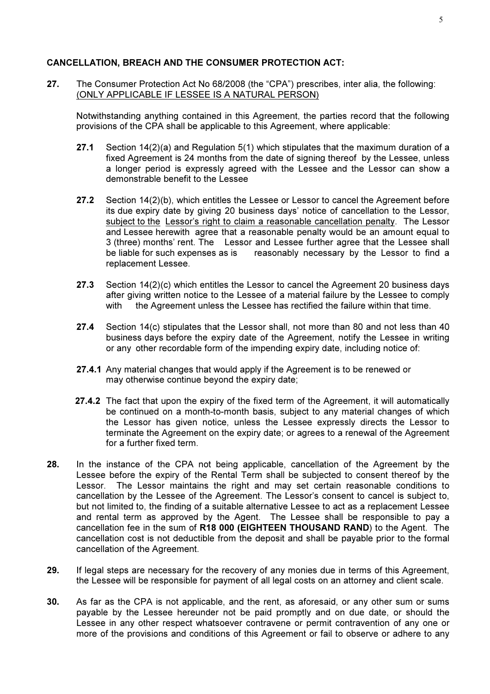## CANCELLATION, BREACH AND THE CONSUMER PROTECTION ACT:

27. The Consumer Protection Act No 68/2008 (the "CPA") prescribes, inter alia, the following: (ONLY APPLICABLE IF LESSEE IS A NATURAL PERSON)

Notwithstanding anything contained in this Agreement, the parties record that the following provisions of the CPA shall be applicable to this Agreement, where applicable:

- 27.1 Section 14(2)(a) and Regulation 5(1) which stipulates that the maximum duration of a fixed Agreement is 24 months from the date of signing thereof by the Lessee, unless a longer period is expressly agreed with the Lessee and the Lessor can show a demonstrable benefit to the Lessee
- 27.2 Section 14(2)(b), which entitles the Lessee or Lessor to cancel the Agreement before its due expiry date by giving 20 business days' notice of cancellation to the Lessor, subject to the Lessor's right to claim a reasonable cancellation penalty. The Lessor and Lessee herewith agree that a reasonable penalty would be an amount equal to 3 (three) months' rent. The Lessor and Lessee further agree that the Lessee shall be liable for such expenses as is reasonably necessary by the Lessor to find a replacement Lessee.
- 27.3 Section 14(2)(c) which entitles the Lessor to cancel the Agreement 20 business days after giving written notice to the Lessee of a material failure by the Lessee to comply with the Agreement unless the Lessee has rectified the failure within that time.
- 27.4 Section 14(c) stipulates that the Lessor shall, not more than 80 and not less than 40 business days before the expiry date of the Agreement, notify the Lessee in writing or any other recordable form of the impending expiry date, including notice of:
- 27.4.1 Any material changes that would apply if the Agreement is to be renewed or may otherwise continue beyond the expiry date;
- 27.4.2 The fact that upon the expiry of the fixed term of the Agreement, it will automatically be continued on a month-to-month basis, subject to any material changes of which the Lessor has given notice, unless the Lessee expressly directs the Lessor to terminate the Agreement on the expiry date; or agrees to a renewal of the Agreement for a further fixed term.
- 28. In the instance of the CPA not being applicable, cancellation of the Agreement by the Lessee before the expiry of the Rental Term shall be subjected to consent thereof by the Lessor. The Lessor maintains the right and may set certain reasonable conditions to cancellation by the Lessee of the Agreement. The Lessor's consent to cancel is subject to, but not limited to, the finding of a suitable alternative Lessee to act as a replacement Lessee and rental term as approved by the Agent. The Lessee shall be responsible to pay a cancellation fee in the sum of R18 000 (EIGHTEEN THOUSAND RAND) to the Agent. The cancellation cost is not deductible from the deposit and shall be payable prior to the formal cancellation of the Agreement.
- 29. If legal steps are necessary for the recovery of any monies due in terms of this Agreement, the Lessee will be responsible for payment of all legal costs on an attorney and client scale.
- 30. As far as the CPA is not applicable, and the rent, as aforesaid, or any other sum or sums payable by the Lessee hereunder not be paid promptly and on due date, or should the Lessee in any other respect whatsoever contravene or permit contravention of any one or more of the provisions and conditions of this Agreement or fail to observe or adhere to any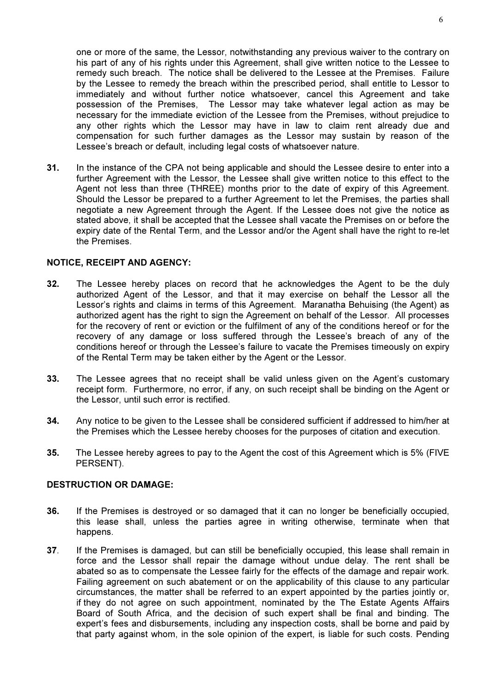one or more of the same, the Lessor, notwithstanding any previous waiver to the contrary on his part of any of his rights under this Agreement, shall give written notice to the Lessee to remedy such breach. The notice shall be delivered to the Lessee at the Premises. Failure by the Lessee to remedy the breach within the prescribed period, shall entitle to Lessor to immediately and without further notice whatsoever, cancel this Agreement and take possession of the Premises, The Lessor may take whatever legal action as may be necessary for the immediate eviction of the Lessee from the Premises, without prejudice to any other rights which the Lessor may have in law to claim rent already due and compensation for such further damages as the Lessor may sustain by reason of the Lessee's breach or default, including legal costs of whatsoever nature.

31. In the instance of the CPA not being applicable and should the Lessee desire to enter into a further Agreement with the Lessor, the Lessee shall give written notice to this effect to the Agent not less than three (THREE) months prior to the date of expiry of this Agreement. Should the Lessor be prepared to a further Agreement to let the Premises, the parties shall negotiate a new Agreement through the Agent. If the Lessee does not give the notice as stated above, it shall be accepted that the Lessee shall vacate the Premises on or before the expiry date of the Rental Term, and the Lessor and/or the Agent shall have the right to re-let the Premises.

#### NOTICE, RECEIPT AND AGENCY:

- 32. The Lessee hereby places on record that he acknowledges the Agent to be the duly authorized Agent of the Lessor, and that it may exercise on behalf the Lessor all the Lessor's rights and claims in terms of this Agreement. Maranatha Behuising (the Agent) as authorized agent has the right to sign the Agreement on behalf of the Lessor. All processes for the recovery of rent or eviction or the fulfilment of any of the conditions hereof or for the recovery of any damage or loss suffered through the Lessee's breach of any of the conditions hereof or through the Lessee's failure to vacate the Premises timeously on expiry of the Rental Term may be taken either by the Agent or the Lessor.
- 33. The Lessee agrees that no receipt shall be valid unless given on the Agent's customary receipt form. Furthermore, no error, if any, on such receipt shall be binding on the Agent or the Lessor, until such error is rectified.
- 34. Any notice to be given to the Lessee shall be considered sufficient if addressed to him/her at the Premises which the Lessee hereby chooses for the purposes of citation and execution.
- 35. The Lessee hereby agrees to pay to the Agent the cost of this Agreement which is 5% (FIVE PERSENT).

## DESTRUCTION OR DAMAGE:

- 36. If the Premises is destroyed or so damaged that it can no longer be beneficially occupied, this lease shall, unless the parties agree in writing otherwise, terminate when that happens.
- 37. If the Premises is damaged, but can still be beneficially occupied, this lease shall remain in force and the Lessor shall repair the damage without undue delay. The rent shall be abated so as to compensate the Lessee fairly for the effects of the damage and repair work. Failing agreement on such abatement or on the applicability of this clause to any particular circumstances, the matter shall be referred to an expert appointed by the parties jointly or, if they do not agree on such appointment, nominated by the The Estate Agents Affairs Board of South Africa, and the decision of such expert shall be final and binding. The expert's fees and disbursements, including any inspection costs, shall be borne and paid by that party against whom, in the sole opinion of the expert, is liable for such costs. Pending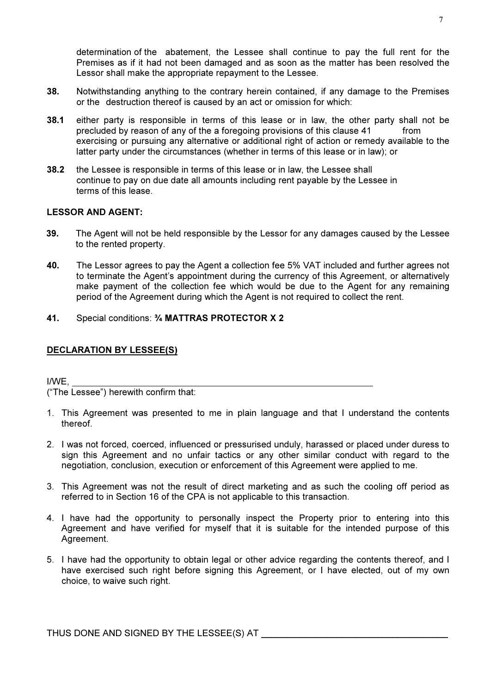determination of the abatement, the Lessee shall continue to pay the full rent for the Premises as if it had not been damaged and as soon as the matter has been resolved the Lessor shall make the appropriate repayment to the Lessee.

- 38. Notwithstanding anything to the contrary herein contained, if any damage to the Premises or the destruction thereof is caused by an act or omission for which:
- 38.1 either party is responsible in terms of this lease or in law, the other party shall not be precluded by reason of any of the a foregoing provisions of this clause 41 from exercising or pursuing any alternative or additional right of action or remedy available to the latter party under the circumstances (whether in terms of this lease or in law); or
- 38.2 the Lessee is responsible in terms of this lease or in law, the Lessee shall continue to pay on due date all amounts including rent payable by the Lessee in terms of this lease.

## LESSOR AND AGENT:

- 39. The Agent will not be held responsible by the Lessor for any damages caused by the Lessee to the rented property.
- 40. The Lessor agrees to pay the Agent a collection fee 5% VAT included and further agrees not to terminate the Agent's appointment during the currency of this Agreement, or alternatively make payment of the collection fee which would be due to the Agent for any remaining period of the Agreement during which the Agent is not required to collect the rent.
- 41. Special conditions: ¾ MATTRAS PROTECTOR X 2

### DECLARATION BY LESSEE(S)

I/WE,

("The Lessee") herewith confirm that:

- 1. This Agreement was presented to me in plain language and that I understand the contents thereof.
- 2. I was not forced, coerced, influenced or pressurised unduly, harassed or placed under duress to sign this Agreement and no unfair tactics or any other similar conduct with regard to the negotiation, conclusion, execution or enforcement of this Agreement were applied to me.
- 3. This Agreement was not the result of direct marketing and as such the cooling off period as referred to in Section 16 of the CPA is not applicable to this transaction.
- 4. I have had the opportunity to personally inspect the Property prior to entering into this Agreement and have verified for myself that it is suitable for the intended purpose of this Agreement.
- 5. I have had the opportunity to obtain legal or other advice regarding the contents thereof, and I have exercised such right before signing this Agreement, or I have elected, out of my own choice, to waive such right.